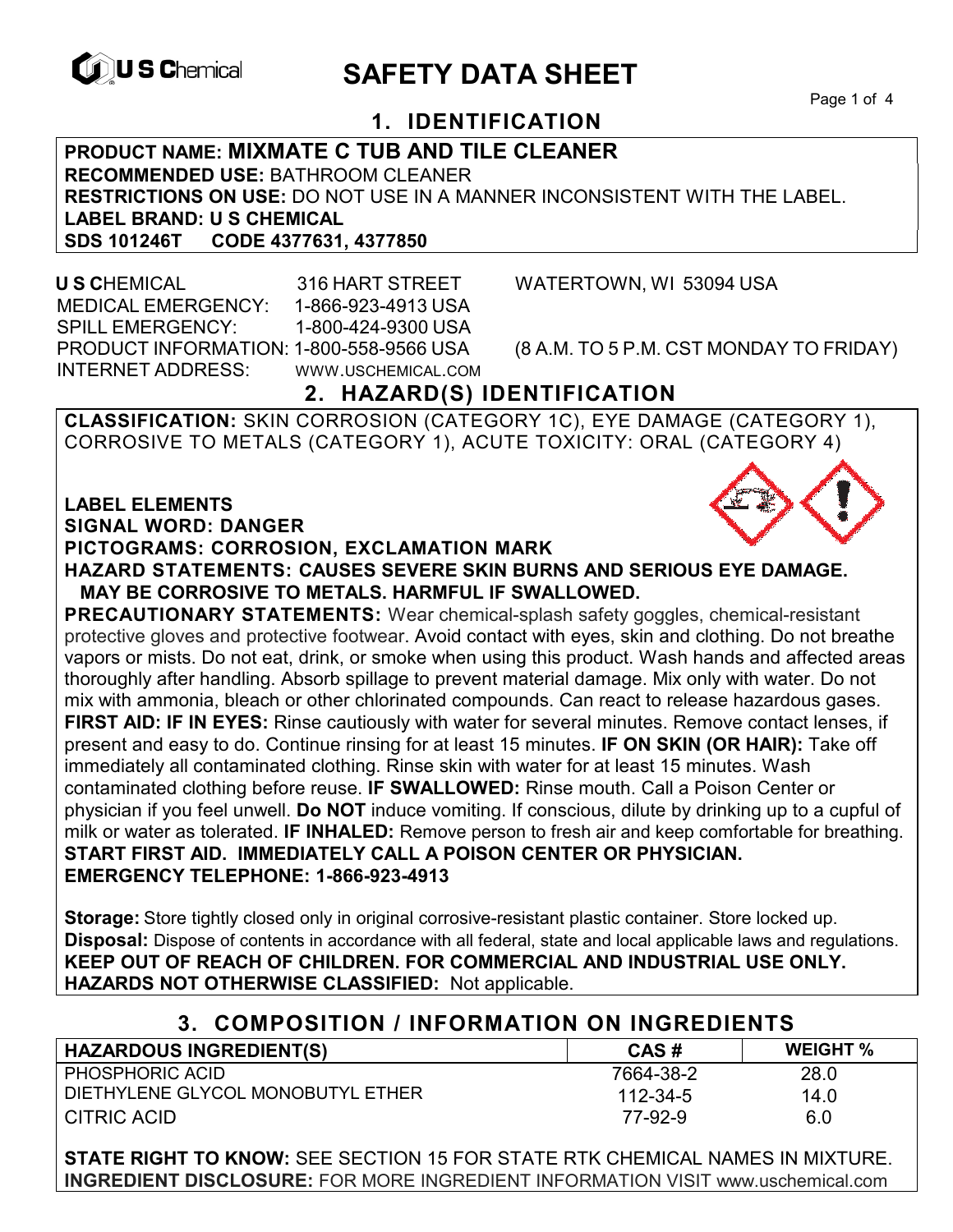

# **EXAGREM** SAFETY DATA SHEET

Page 1 of 4

## **1. IDENTIFICATION**

**PRODUCT NAME: MIXMATE C TUB AND TILE CLEANER RECOMMENDED USE:** BATHROOM CLEANER **RESTRICTIONS ON USE:** DO NOT USE IN A MANNER INCONSISTENT WITH THE LABEL. **LABEL BRAND: U S CHEMICAL SDS 101246T CODE 4377631, 4377850** 

 **U S C**HEMICAL 316 HART STREET WATERTOWN, WI 53094 USA MEDICAL EMERGENCY: 1-866-923-4913 USA SPILL EMERGENCY: 1-800-424-9300 USA PRODUCT INFORMATION: 1-800-558-9566 USA (8 A.M. TO 5 P.M. CST MONDAY TO FRIDAY) INTERNET ADDRESS: WWW.USCHEMICAL.COM

## **2. HAZARD(S) IDENTIFICATION**

**CLASSIFICATION:** SKIN CORROSION (CATEGORY 1C), EYE DAMAGE (CATEGORY 1), CORROSIVE TO METALS (CATEGORY 1), ACUTE TOXICITY: ORAL (CATEGORY 4)

#### **LABEL ELEMENTS SIGNAL WORD: DANGER**

#### **PICTOGRAMS: CORROSION, EXCLAMATION MARK**

**HAZARD STATEMENTS: CAUSES SEVERE SKIN BURNS AND SERIOUS EYE DAMAGE. MAY BE CORROSIVE TO METALS. HARMFUL IF SWALLOWED.** 

**PRECAUTIONARY STATEMENTS:** Wear chemical-splash safety goggles, chemical-resistant protective gloves and protective footwear. Avoid contact with eyes, skin and clothing. Do not breathe vapors or mists. Do not eat, drink, or smoke when using this product. Wash hands and affected areas thoroughly after handling. Absorb spillage to prevent material damage. Mix only with water. Do not mix with ammonia, bleach or other chlorinated compounds. Can react to release hazardous gases. **FIRST AID: IF IN EYES:** Rinse cautiously with water for several minutes. Remove contact lenses, if present and easy to do. Continue rinsing for at least 15 minutes. **IF ON SKIN (OR HAIR):** Take off immediately all contaminated clothing. Rinse skin with water for at least 15 minutes. Wash contaminated clothing before reuse. **IF SWALLOWED:** Rinse mouth. Call a Poison Center or physician if you feel unwell. **Do NOT** induce vomiting. If conscious, dilute by drinking up to a cupful of milk or water as tolerated. **IF INHALED:** Remove person to fresh air and keep comfortable for breathing. **START FIRST AID. IMMEDIATELY CALL A POISON CENTER OR PHYSICIAN. EMERGENCY TELEPHONE: 1-866-923-4913** 

**Storage:** Store tightly closed only in original corrosive-resistant plastic container. Store locked up. **Disposal:** Dispose of contents in accordance with all federal, state and local applicable laws and regulations. **KEEP OUT OF REACH OF CHILDREN. FOR COMMERCIAL AND INDUSTRIAL USE ONLY. HAZARDS NOT OTHERWISE CLASSIFIED:** Not applicable.

### **3. COMPOSITION / INFORMATION ON INGREDIENTS**

| <b>HAZARDOUS INGREDIENT(S)</b>    | CAS#      | <b>WEIGHT</b> % |
|-----------------------------------|-----------|-----------------|
| <b>PHOSPHORIC ACID</b>            | 7664-38-2 | 28.0            |
| DIETHYLENE GLYCOL MONOBUTYL ETHER | 112-34-5  | 14.0            |
| CITRIC ACID                       | 77-92-9   | 6.0             |

**STATE RIGHT TO KNOW:** SEE SECTION 15 FOR STATE RTK CHEMICAL NAMES IN MIXTURE. **INGREDIENT DISCLOSURE:** FOR MORE INGREDIENT INFORMATION VISIT www.uschemical.com

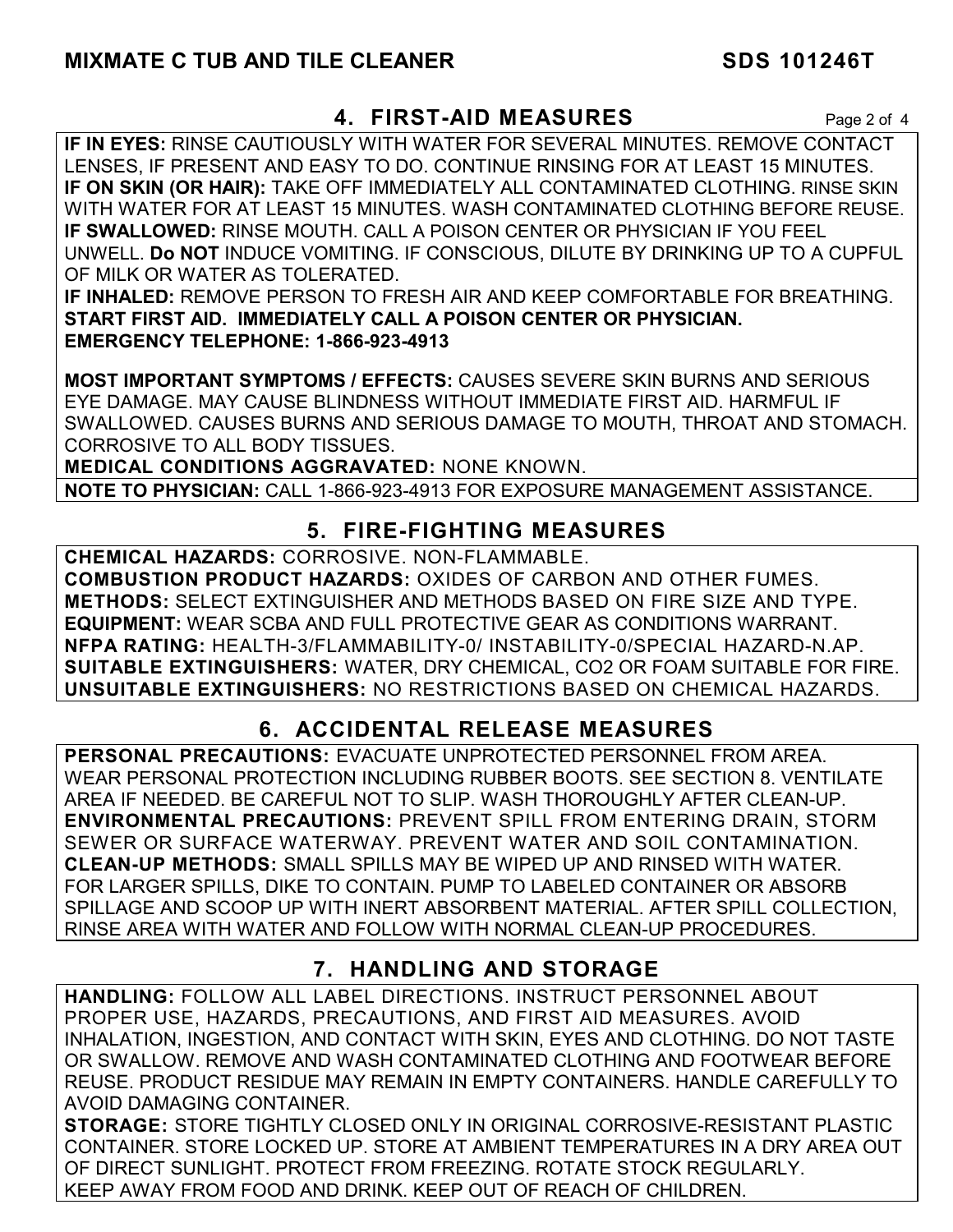## **4. FIRST-AID MEASURES** Page 2 of 4

**IF IN EYES:** RINSE CAUTIOUSLY WITH WATER FOR SEVERAL MINUTES. REMOVE CONTACT LENSES, IF PRESENT AND EASY TO DO. CONTINUE RINSING FOR AT LEAST 15 MINUTES. **IF ON SKIN (OR HAIR):** TAKE OFF IMMEDIATELY ALL CONTAMINATED CLOTHING. RINSE SKIN WITH WATER FOR AT LEAST 15 MINUTES. WASH CONTAMINATED CLOTHING BEFORE REUSE. **IF SWALLOWED:** RINSE MOUTH. CALL A POISON CENTER OR PHYSICIAN IF YOU FEEL UNWELL. **Do NOT** INDUCE VOMITING. IF CONSCIOUS, DILUTE BY DRINKING UP TO A CUPFUL OF MILK OR WATER AS TOLERATED.

**IF INHALED:** REMOVE PERSON TO FRESH AIR AND KEEP COMFORTABLE FOR BREATHING. **START FIRST AID. IMMEDIATELY CALL A POISON CENTER OR PHYSICIAN. EMERGENCY TELEPHONE: 1-866-923-4913**

**MOST IMPORTANT SYMPTOMS / EFFECTS:** CAUSES SEVERE SKIN BURNS AND SERIOUS EYE DAMAGE. MAY CAUSE BLINDNESS WITHOUT IMMEDIATE FIRST AID. HARMFUL IF SWALLOWED. CAUSES BURNS AND SERIOUS DAMAGE TO MOUTH, THROAT AND STOMACH. CORROSIVE TO ALL BODY TISSUES.

**MEDICAL CONDITIONS AGGRAVATED:** NONE KNOWN.

**NOTE TO PHYSICIAN:** CALL 1-866-923-4913 FOR EXPOSURE MANAGEMENT ASSISTANCE.

## **5. FIRE-FIGHTING MEASURES**

**CHEMICAL HAZARDS:** CORROSIVE. NON-FLAMMABLE. **COMBUSTION PRODUCT HAZARDS:** OXIDES OF CARBON AND OTHER FUMES. **METHODS:** SELECT EXTINGUISHER AND METHODS BASED ON FIRE SIZE AND TYPE. **EQUIPMENT:** WEAR SCBA AND FULL PROTECTIVE GEAR AS CONDITIONS WARRANT. **NFPA RATING:** HEALTH-3/FLAMMABILITY-0/ INSTABILITY-0/SPECIAL HAZARD-N.AP. **SUITABLE EXTINGUISHERS:** WATER, DRY CHEMICAL, CO2 OR FOAM SUITABLE FOR FIRE. **UNSUITABLE EXTINGUISHERS:** NO RESTRICTIONS BASED ON CHEMICAL HAZARDS.

## **6. ACCIDENTAL RELEASE MEASURES**

**PERSONAL PRECAUTIONS:** EVACUATE UNPROTECTED PERSONNEL FROM AREA. WEAR PERSONAL PROTECTION INCLUDING RUBBER BOOTS. SEE SECTION 8. VENTILATE AREA IF NEEDED. BE CAREFUL NOT TO SLIP. WASH THOROUGHLY AFTER CLEAN-UP. **ENVIRONMENTAL PRECAUTIONS:** PREVENT SPILL FROM ENTERING DRAIN, STORM SEWER OR SURFACE WATERWAY. PREVENT WATER AND SOIL CONTAMINATION. **CLEAN-UP METHODS:** SMALL SPILLS MAY BE WIPED UP AND RINSED WITH WATER. FOR LARGER SPILLS, DIKE TO CONTAIN. PUMP TO LABELED CONTAINER OR ABSORB SPILLAGE AND SCOOP UP WITH INERT ABSORBENT MATERIAL. AFTER SPILL COLLECTION, RINSE AREA WITH WATER AND FOLLOW WITH NORMAL CLEAN-UP PROCEDURES.

## **7. HANDLING AND STORAGE**

**HANDLING:** FOLLOW ALL LABEL DIRECTIONS. INSTRUCT PERSONNEL ABOUT PROPER USE, HAZARDS, PRECAUTIONS, AND FIRST AID MEASURES. AVOID INHALATION, INGESTION, AND CONTACT WITH SKIN, EYES AND CLOTHING. DO NOT TASTE OR SWALLOW. REMOVE AND WASH CONTAMINATED CLOTHING AND FOOTWEAR BEFORE REUSE. PRODUCT RESIDUE MAY REMAIN IN EMPTY CONTAINERS. HANDLE CAREFULLY TO AVOID DAMAGING CONTAINER.

**STORAGE:** STORE TIGHTLY CLOSED ONLY IN ORIGINAL CORROSIVE-RESISTANT PLASTIC CONTAINER. STORE LOCKED UP. STORE AT AMBIENT TEMPERATURES IN A DRY AREA OUT OF DIRECT SUNLIGHT. PROTECT FROM FREEZING. ROTATE STOCK REGULARLY. KEEP AWAY FROM FOOD AND DRINK. KEEP OUT OF REACH OF CHILDREN.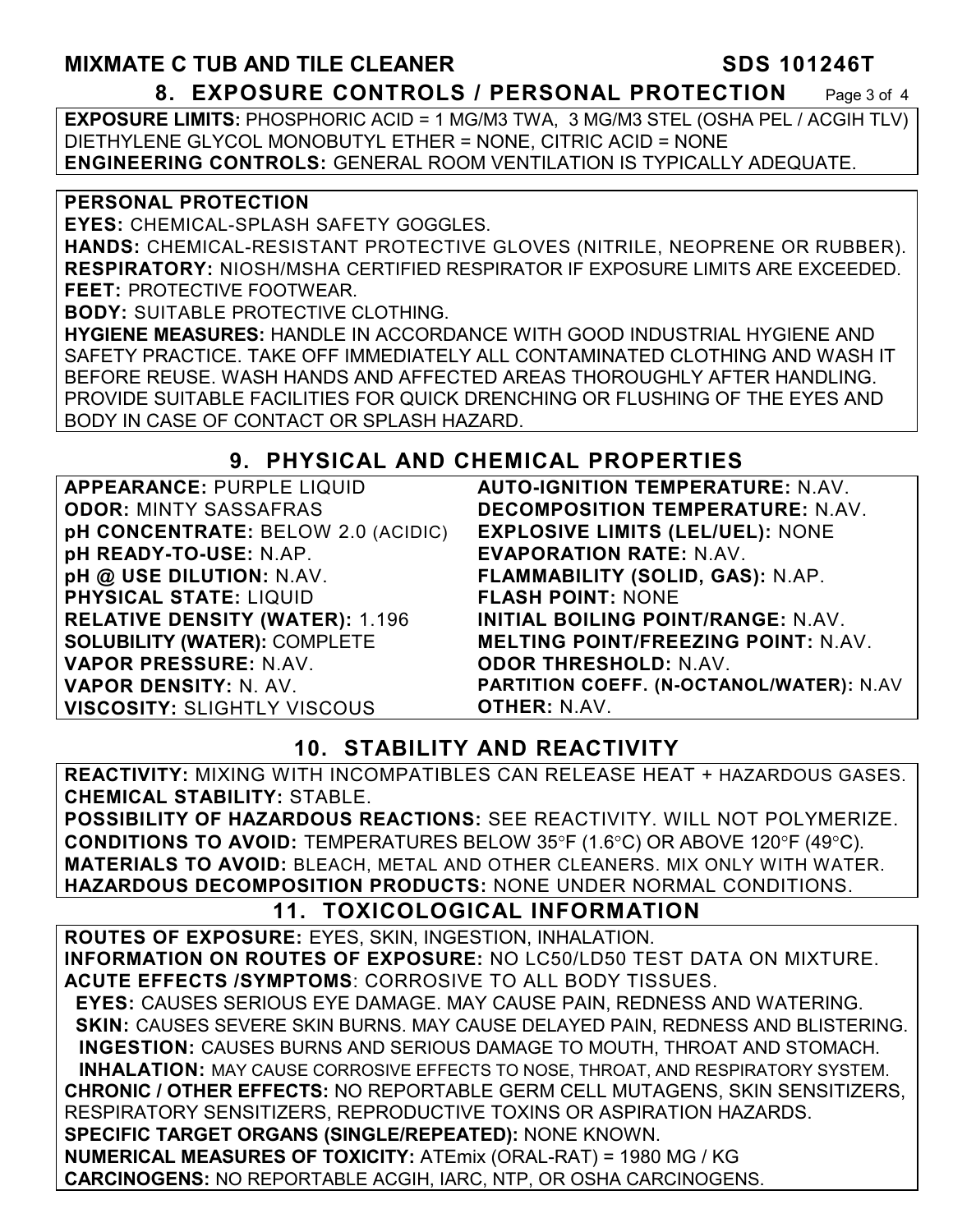## **MIXMATE C TUB AND TILE CLEANER SDS 101246T 8. EXPOSURE CONTROLS / PERSONAL PROTECTION** Page 3 of 4

**EXPOSURE LIMITS:** PHOSPHORIC ACID = 1 MG/M3 TWA, 3 MG/M3 STEL (OSHA PEL / ACGIH TLV) DIETHYLENE GLYCOL MONOBUTYL ETHER = NONE, CITRIC ACID = NONE **ENGINEERING CONTROLS:** GENERAL ROOM VENTILATION IS TYPICALLY ADEQUATE.

#### **PERSONAL PROTECTION**

**EYES:** CHEMICAL-SPLASH SAFETY GOGGLES.

**HANDS:** CHEMICAL-RESISTANT PROTECTIVE GLOVES (NITRILE, NEOPRENE OR RUBBER). **RESPIRATORY:** NIOSH/MSHA CERTIFIED RESPIRATOR IF EXPOSURE LIMITS ARE EXCEEDED. **FEET:** PROTECTIVE FOOTWEAR.

**BODY:** SUITABLE PROTECTIVE CLOTHING.

**HYGIENE MEASURES:** HANDLE IN ACCORDANCE WITH GOOD INDUSTRIAL HYGIENE AND SAFETY PRACTICE. TAKE OFF IMMEDIATELY ALL CONTAMINATED CLOTHING AND WASH IT BEFORE REUSE. WASH HANDS AND AFFECTED AREAS THOROUGHLY AFTER HANDLING. PROVIDE SUITABLE FACILITIES FOR QUICK DRENCHING OR FLUSHING OF THE EYES AND BODY IN CASE OF CONTACT OR SPLASH HAZARD.

## **9. PHYSICAL AND CHEMICAL PROPERTIES**

| <b>APPEARANCE: PURPLE LIQUID</b>       |
|----------------------------------------|
| <b>ODOR: MINTY SASSAFRAS</b>           |
| pH CONCENTRATE: BELOW 2.0 (ACIDIC)     |
| pH READY-TO-USE: N.AP.                 |
| pH @ USE DILUTION: N.AV.               |
| <b>PHYSICAL STATE: LIQUID</b>          |
| <b>RELATIVE DENSITY (WATER): 1.196</b> |
| <b>SOLUBILITY (WATER): COMPLETE</b>    |
| <b>VAPOR PRESSURE: N.AV.</b>           |
| <b>VAPOR DENSITY: N. AV.</b>           |
| <b>VISCOSITY: SLIGHTLY VISCOUS</b>     |

**AUTO-IGNITION TEMPERATURE:** N.AV. **DECOMPOSITION TEMPERATURE:** N.AV. **EXPLOSIVE LIMITS (LEL/UEL):** NONE **EVAPORATION RATE:** N.AV. **FLAMMABILITY (SOLID, GAS):** N.AP. **FLASH POINT:** NONE **INITIAL BOILING POINT/RANGE:** N.AV. **MELTING POINT/FREEZING POINT:** N.AV. **ODOR THRESHOLD:** N.AV. **PARTITION COEFF. (N-OCTANOL/WATER):** N.AV **OTHER:** N.AV.

## **10. STABILITY AND REACTIVITY**

**REACTIVITY:** MIXING WITH INCOMPATIBLES CAN RELEASE HEAT + HAZARDOUS GASES. **CHEMICAL STABILITY:** STABLE.

**POSSIBILITY OF HAZARDOUS REACTIONS:** SEE REACTIVITY. WILL NOT POLYMERIZE. **CONDITIONS TO AVOID:** TEMPERATURES BELOW 35°F (1.6°C) OR ABOVE 120°F (49°C). **MATERIALS TO AVOID:** BLEACH, METAL AND OTHER CLEANERS. MIX ONLY WITH WATER. **HAZARDOUS DECOMPOSITION PRODUCTS:** NONE UNDER NORMAL CONDITIONS.

## **11. TOXICOLOGICAL INFORMATION**

**ROUTES OF EXPOSURE:** EYES, SKIN, INGESTION, INHALATION. **INFORMATION ON ROUTES OF EXPOSURE:** NO LC50/LD50 TEST DATA ON MIXTURE. **ACUTE EFFECTS /SYMPTOMS**: CORROSIVE TO ALL BODY TISSUES.  **EYES:** CAUSES SERIOUS EYE DAMAGE. MAY CAUSE PAIN, REDNESS AND WATERING.  **SKIN:** CAUSES SEVERE SKIN BURNS. MAY CAUSE DELAYED PAIN, REDNESS AND BLISTERING. **INGESTION:** CAUSES BURNS AND SERIOUS DAMAGE TO MOUTH, THROAT AND STOMACH. **INHALATION:** MAY CAUSE CORROSIVE EFFECTS TO NOSE, THROAT, AND RESPIRATORY SYSTEM. **CHRONIC / OTHER EFFECTS:** NO REPORTABLE GERM CELL MUTAGENS, SKIN SENSITIZERS, RESPIRATORY SENSITIZERS, REPRODUCTIVE TOXINS OR ASPIRATION HAZARDS.

**SPECIFIC TARGET ORGANS (SINGLE/REPEATED):** NONE KNOWN.

**NUMERICAL MEASURES OF TOXICITY:** ATEmix (ORAL-RAT) = 1980 MG / KG **CARCINOGENS:** NO REPORTABLE ACGIH, IARC, NTP, OR OSHA CARCINOGENS.